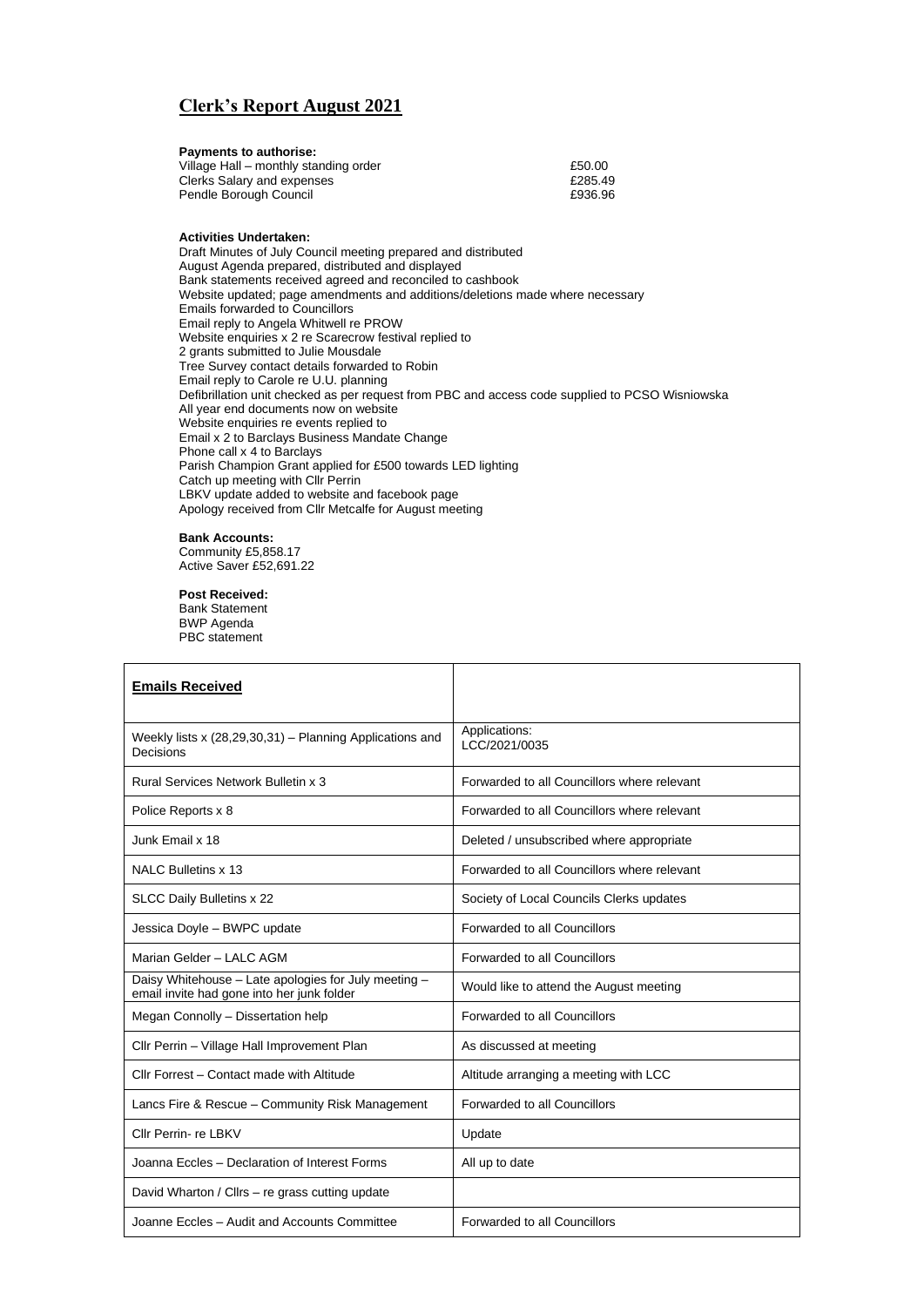## **Clerk's Report August 2021**

| £50.00  |
|---------|
| £285.49 |
| £936.96 |
|         |

## **Activities Undertaken:**

Draft Minutes of July Council meeting prepared and distributed August Agenda prepared, distributed and displayed Bank statements received agreed and reconciled to cashbook Website updated; page amendments and additions/deletions made where necessary Emails forwarded to Councillors Email reply to Angela Whitwell re PROW Website enquiries x 2 re Scarecrow festival replied to 2 grants submitted to Julie Mousdale Tree Survey contact details forwarded to Robin Email reply to Carole re U.U. planning Defibrillation unit checked as per request from PBC and access code supplied to PCSO Wisniowska All year end documents now on website Website enquiries re events replied to Email x 2 to Barclays Business Mandate Change Phone call x 4 to Barclays Parish Champion Grant applied for £500 towards LED lighting Catch up meeting with Cllr Perrin LBKV update added to website and facebook page Apology received from Cllr Metcalfe for August meeting

## **Bank Accounts:**

Community £5,858.17 Active Saver £52,691.22

## **Post Received:**

Bank Statement BWP Agenda PBC statement

| <b>Emails Received</b>                                                                             |                                             |
|----------------------------------------------------------------------------------------------------|---------------------------------------------|
| Weekly lists x (28,29,30,31) - Planning Applications and<br>Decisions                              | Applications:<br>ICC/2021/0035              |
| Rural Services Network Bulletin x 3                                                                | Forwarded to all Councillors where relevant |
| Police Reports x 8                                                                                 | Forwarded to all Councillors where relevant |
| Junk Email x 18                                                                                    | Deleted / unsubscribed where appropriate    |
| NALC Bulletins x 13                                                                                | Forwarded to all Councillors where relevant |
| SLCC Daily Bulletins x 22                                                                          | Society of Local Councils Clerks updates    |
| Jessica Doyle - BWPC update                                                                        | Forwarded to all Councillors                |
| Marian Gelder - LALC AGM                                                                           | Forwarded to all Councillors                |
| Daisy Whitehouse - Late apologies for July meeting -<br>email invite had gone into her junk folder | Would like to attend the August meeting     |
| Megan Connolly - Dissertation help                                                                 | Forwarded to all Councillors                |
| Cllr Perrin - Village Hall Improvement Plan                                                        | As discussed at meeting                     |
| Cllr Forrest - Contact made with Altitude                                                          | Altitude arranging a meeting with LCC       |
| Lancs Fire & Rescue - Community Risk Management                                                    | Forwarded to all Councillors                |
| Cllr Perrin- re LBKV                                                                               | Update                                      |
| Joanna Eccles - Declaration of Interest Forms                                                      | All up to date                              |
| David Wharton / Cllrs - re grass cutting update                                                    |                                             |
| Joanne Eccles - Audit and Accounts Committee                                                       | Forwarded to all Councillors                |